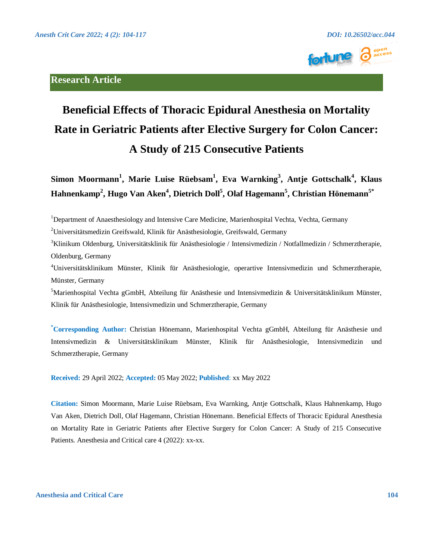# **Research Article**





# **Beneficial Effects of Thoracic Epidural Anesthesia on Mortality Rate in Geriatric Patients after Elective Surgery for Colon Cancer: A Study of 215 Consecutive Patients**

**Simon Moormann<sup>1</sup> , Marie Luise Rüebsam<sup>1</sup> , Eva Warnking<sup>3</sup> , Antje Gottschalk<sup>4</sup> , Klaus Hahnenkamp<sup>2</sup> , Hugo Van Aken<sup>4</sup> , Dietrich Doll<sup>5</sup> , Olaf Hagemann<sup>5</sup> , Christian Hönemann5\***

<sup>1</sup>Department of Anaesthesiology and Intensive Care Medicine, Marienhospital Vechta, Vechta, Germany

<sup>2</sup>Universitätsmedizin Greifswald, Klinik für Anästhesiologie, Greifswald, Germany

<sup>3</sup>Klinikum Oldenburg, Universitätsklinik für Anästhesiologie / Intensivmedizin / Notfallmedizin / Schmerztherapie, Oldenburg, Germany

<sup>4</sup>Universitätsklinikum Münster, Klinik für Anästhesiologie, operartive Intensivmedizin und Schmerztherapie, Münster, Germany

 $<sup>5</sup>$ Marienhospital Vechta gGmbH, Abteilung für Anästhesie und Intensiymedizin & Universitätsklinikum Münster,</sup> Klinik für Anästhesiologie, Intensivmedizin und Schmerztherapie, Germany

**\*Corresponding Author:** Christian Hönemann, Marienhospital Vechta gGmbH, Abteilung für Anästhesie und Intensivmedizin & Universitätsklinikum Münster, Klinik für Anästhesiologie, Intensivmedizin und Schmerztherapie, Germany

**Received:** 29 April 2022; **Accepted:** 05 May 2022; **Published**: xx May 2022

**Citation:** Simon Moormann, Marie Luise Rüebsam, Eva Warnking, Antje Gottschalk, Klaus Hahnenkamp, Hugo Van Aken, Dietrich Doll, Olaf Hagemann, Christian Hönemann. Beneficial Effects of Thoracic Epidural Anesthesia on Mortality Rate in Geriatric Patients after Elective Surgery for Colon Cancer: A Study of 215 Consecutive Patients. Anesthesia and Critical care 4 (2022): xx-xx.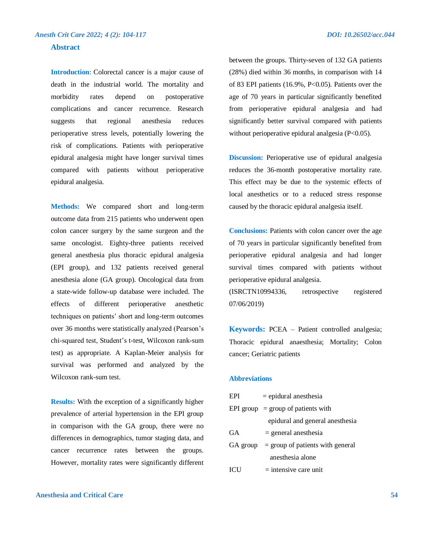# **Abstract**

**Introduction**: Colorectal cancer is a major cause of death in the industrial world. The mortality and morbidity rates depend on postoperative complications and cancer recurrence. Research suggests that regional anesthesia reduces perioperative stress levels, potentially lowering the risk of complications. Patients with perioperative epidural analgesia might have longer survival times compared with patients without perioperative epidural analgesia.

**Methods:** We compared short and long-term outcome data from 215 patients who underwent open colon cancer surgery by the same surgeon and the same oncologist. Eighty-three patients received general anesthesia plus thoracic epidural analgesia (EPI group), and 132 patients received general anesthesia alone (GA group). Oncological data from a state-wide follow-up database were included. The effects of different perioperative anesthetic techniques on patients' short and long-term outcomes over 36 months were statistically analyzed (Pearson's chi-squared test, Student's t-test, Wilcoxon rank-sum test) as appropriate. A Kaplan-Meier analysis for survival was performed and analyzed by the Wilcoxon rank-sum test.

**Results:** With the exception of a significantly higher prevalence of arterial hypertension in the EPI group in comparison with the GA group, there were no differences in demographics, tumor staging data, and cancer recurrence rates between the groups. However, mortality rates were significantly different between the groups. Thirty-seven of 132 GA patients (28%) died within 36 months, in comparison with 14 of 83 EPI patients  $(16.9\%, P<0.05)$ . Patients over the age of 70 years in particular significantly benefited from perioperative epidural analgesia and had significantly better survival compared with patients without perioperative epidural analgesia (P<0.05).

**Discussion:** Perioperative use of epidural analgesia reduces the 36-month postoperative mortality rate. This effect may be due to the systemic effects of local anesthetics or to a reduced stress response caused by the thoracic epidural analgesia itself.

**Conclusions:** Patients with colon cancer over the age of 70 years in particular significantly benefited from perioperative epidural analgesia and had longer survival times compared with patients without perioperative epidural analgesia.

(ISRCTN10994336, retrospective registered 07/06/2019)

**Keywords:** PCEA – Patient controlled analgesia; Thoracic epidural anaesthesia; Mortality; Colon cancer; Geriatric patients

#### **Abbreviations**

| EPI       | $=$ epidural anesthesia                     |  |  |  |
|-----------|---------------------------------------------|--|--|--|
|           | EPI group $=$ group of patients with        |  |  |  |
|           | epidural and general anesthesia             |  |  |  |
| <b>GA</b> | $=$ general anesthesia                      |  |  |  |
|           | $GA$ group = group of patients with general |  |  |  |
|           | anesthesia alone                            |  |  |  |
| ICU       | $=$ intensive care unit                     |  |  |  |

# **Anesthesia and Critical Care 54**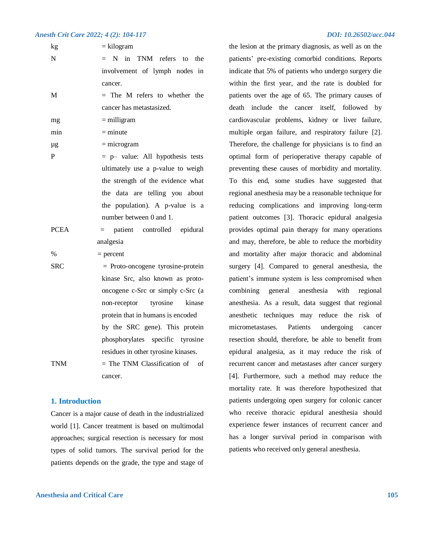| kg            | $=$ kilogram                        |  |  |  |  |  |
|---------------|-------------------------------------|--|--|--|--|--|
| N             | N in TNM refers<br>the<br>$=$<br>to |  |  |  |  |  |
|               | involvement of lymph nodes in       |  |  |  |  |  |
|               | cancer.                             |  |  |  |  |  |
| M             | The M refers to whether the<br>$=$  |  |  |  |  |  |
|               | cancer has metastasized.            |  |  |  |  |  |
| mg            | $=$ milligram                       |  |  |  |  |  |
| min           | $=$ minute                          |  |  |  |  |  |
| μg            | $=$ microgram                       |  |  |  |  |  |
| $\mathbf P$   | = p- value: All hypothesis tests    |  |  |  |  |  |
|               | ultimately use a p-value to weigh   |  |  |  |  |  |
|               | the strength of the evidence what   |  |  |  |  |  |
|               | the data are telling you about      |  |  |  |  |  |
|               | the population). A p-value is a     |  |  |  |  |  |
|               | number between 0 and 1.             |  |  |  |  |  |
| <b>PCEA</b>   | = patient controlled epidural       |  |  |  |  |  |
|               | analgesia                           |  |  |  |  |  |
| $\frac{0}{0}$ | $=$ percent                         |  |  |  |  |  |
| <b>SRC</b>    | $=$ Proto-oncogene tyrosine-protein |  |  |  |  |  |
|               | kinase Src, also known as proto-    |  |  |  |  |  |
|               | oncogene c-Src or simply c-Src (a   |  |  |  |  |  |
|               | tyrosine<br>kinase<br>non-receptor  |  |  |  |  |  |
|               | protein that in humans is encoded   |  |  |  |  |  |
|               | by the SRC gene). This protein      |  |  |  |  |  |
|               | phosphorylates specific tyrosine    |  |  |  |  |  |
|               | residues in other tyrosine kinases. |  |  |  |  |  |
| <b>TNM</b>    | $=$ The TNM Classification of of    |  |  |  |  |  |
|               | cancer.                             |  |  |  |  |  |

# **1. Introduction**

Cancer is a major cause of death in the industrialized world [1]. Cancer treatment is based on multimodal approaches; surgical resection is necessary for most types of solid tumors. The survival period for the patients depends on the grade, the type and stage of

# **Anesthesia and Critical Care 105**

the lesion at the primary diagnosis, as well as on the patients' pre-existing comorbid conditions. Reports indicate that 5% of patients who undergo surgery die within the first year, and the rate is doubled for patients over the age of 65. The primary causes of death include the cancer itself, followed by cardiovascular problems, kidney or liver failure, multiple organ failure, and respiratory failure [2]. Therefore, the challenge for physicians is to find an optimal form of perioperative therapy capable of preventing these causes of morbidity and mortality. To this end, some studies have suggested that regional anesthesia may be a reasonable technique for reducing complications and improving long-term patient outcomes [3]. Thoracic epidural analgesia provides optimal pain therapy for many operations and may, therefore, be able to reduce the morbidity and mortality after major thoracic and abdominal surgery [4]. Compared to general anesthesia, the patient's immune system is less compromised when combining general anesthesia with regional anesthesia. As a result, data suggest that regional anesthetic techniques may reduce the risk of micrometastases. Patients undergoing cancer resection should, therefore, be able to benefit from epidural analgesia, as it may reduce the risk of recurrent cancer and metastases after cancer surgery [4]. Furthermore, such a method may reduce the mortality rate. It was therefore hypothesized that patients undergoing open surgery for colonic cancer who receive thoracic epidural anesthesia should experience fewer instances of recurrent cancer and has a longer survival period in comparison with patients who received only general anesthesia.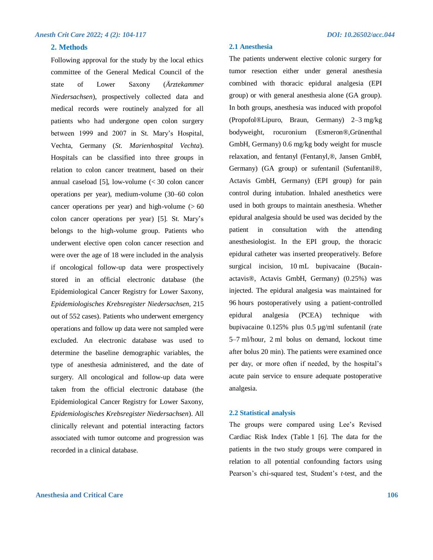# **2. Methods**

Following approval for the study by the local ethics committee of the General Medical Council of the state of Lower Saxony (*Ärztekammer Niedersachsen*), prospectively collected data and medical records were routinely analyzed for all patients who had undergone open colon surgery between 1999 and 2007 in St. Mary's Hospital, Vechta, Germany (*St. Marienhospital Vechta*). Hospitals can be classified into three groups in relation to colon cancer treatment, based on their annual caseload [5], low-volume (< 30 colon cancer operations per year), medium-volume (30–60 colon cancer operations per year) and high-volume  $(560$ colon cancer operations per year) [5]. St. Mary's belongs to the high-volume group. Patients who underwent elective open colon cancer resection and were over the age of 18 were included in the analysis if oncological follow-up data were prospectively stored in an official electronic database (the Epidemiological Cancer Registry for Lower Saxony, *Epidemiologisches Krebsregister Niedersachsen,* 215 out of 552 cases). Patients who underwent emergency operations and follow up data were not sampled were excluded. An electronic database was used to determine the baseline demographic variables, the type of anesthesia administered, and the date of surgery. All oncological and follow-up data were taken from the official electronic database (the Epidemiological Cancer Registry for Lower Saxony, *Epidemiologisches Krebsregister Niedersachsen*). All clinically relevant and potential interacting factors associated with tumor outcome and progression was recorded in a clinical database.

# **2.1 Anesthesia**

The patients underwent elective colonic surgery for tumor resection either under general anesthesia combined with thoracic epidural analgesia (EPI group) or with general anesthesia alone (GA group). In both groups, anesthesia was induced with propofol (Propofol®Lipuro, Braun, Germany) 2–3 mg/kg bodyweight, rocuronium (Esmeron®,Grünenthal GmbH, Germany) 0.6 mg/kg body weight for muscle relaxation, and fentanyl (Fentanyl,®, Jansen GmbH, Germany) (GA group) or sufentanil (Sufentanil®, Actavis GmbH, Germany) (EPI group) for pain control during intubation. Inhaled anesthetics were used in both groups to maintain anesthesia. Whether epidural analgesia should be used was decided by the patient in consultation with the attending anesthesiologist. In the EPI group, the thoracic epidural catheter was inserted preoperatively. Before surgical incision, 10 mL bupivacaine (Bucainactavis®, Actavis GmbH, Germany) (0.25%) was injected. The epidural analgesia was maintained for 96 hours postoperatively using a patient-controlled epidural analgesia (PCEA) technique with bupivacaine 0.125% plus 0.5 µg/ml sufentanil (rate 5–7 ml/hour, 2 ml bolus on demand, lockout time after bolus 20 min). The patients were examined once per day, or more often if needed, by the hospital's acute pain service to ensure adequate postoperative analgesia.

# **2.2 Statistical analysis**

The groups were compared using Lee's Revised Cardiac Risk Index (Table 1 [6]. The data for the patients in the two study groups were compared in relation to all potential confounding factors using Pearson's chi-squared test, Student's *t*-test, and the

# **Anesthesia and Critical Care 106**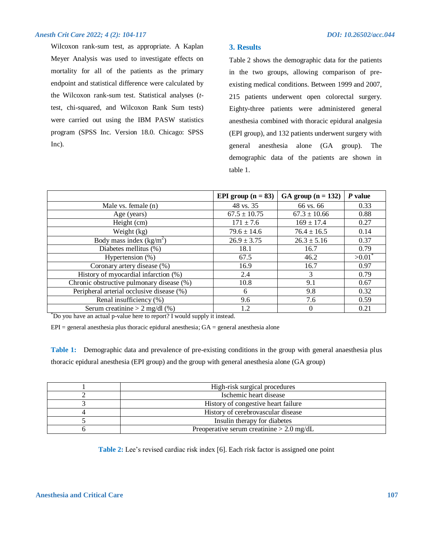Wilcoxon rank-sum test, as appropriate. A Kaplan Meyer Analysis was used to investigate effects on mortality for all of the patients as the primary endpoint and statistical difference were calculated by the Wilcoxon rank-sum test. Statistical analyses (*t*test, chi-squared, and Wilcoxon Rank Sum tests) were carried out using the IBM PASW statistics program (SPSS Inc. Version 18.0. Chicago: SPSS Inc).

# **3. Results**

Table 2 shows the demographic data for the patients in the two groups, allowing comparison of preexisting medical conditions. Between 1999 and 2007, 215 patients underwent open colorectal surgery. Eighty-three patients were administered general anesthesia combined with thoracic epidural analgesia (EPI group), and 132 patients underwent surgery with general anesthesia alone (GA group). The demographic data of the patients are shown in table 1.

|                                           | EPI group $(n = 83)$ | GA group $(n = 132)$ | $P$ value |
|-------------------------------------------|----------------------|----------------------|-----------|
| Male vs. female (n)                       | 48 vs. 35            | 66 vs. 66            | 0.33      |
| Age (years)                               | $67.5 \pm 10.75$     | $67.3 \pm 10.66$     | 0.88      |
| Height (cm)                               | $171 \pm 7.6$        | $169 \pm 17.4$       | 0.27      |
| Weight (kg)                               | $79.6 \pm 14.6$      | $76.4 \pm 16.5$      | 0.14      |
| Body mass index $(kg/m^2)$                | $26.9 \pm 3.75$      | $26.3 \pm 5.16$      | 0.37      |
| Diabetes mellitus (%)                     | 18.1                 | 16.7                 | 0.79      |
| Hypertension (%)                          | 67.5                 | 46.2                 | >0.01     |
| Coronary artery disease (%)               | 16.9                 | 16.7                 | 0.97      |
| History of myocardial infarction (%)      | 2.4                  | 3                    | 0.79      |
| Chronic obstructive pulmonary disease (%) | 10.8                 | 9.1                  | 0.67      |
| Peripheral arterial occlusive disease (%) | 6                    | 9.8                  | 0.32      |
| Renal insufficiency (%)                   | 9.6                  | 7.6                  | 0.59      |
| Serum creatinine $> 2$ mg/dl (%)          | 1.2                  | 0                    | 0.21      |

\*Do you have an actual p-value here to report? I would supply it instead.

 $EPI =$  general anesthesia plus thoracic epidural anesthesia;  $GA =$  general anesthesia alone

**Table 1:** Demographic data and prevalence of pre-existing conditions in the group with general anaesthesia plus thoracic epidural anesthesia (EPI group) and the group with general anesthesia alone (GA group)

| High-risk surgical procedures               |
|---------------------------------------------|
| Ischemic heart disease                      |
| History of congestive heart failure         |
| History of cerebrovascular disease          |
| Insulin therapy for diabetes                |
| Preoperative serum creatinine $> 2.0$ mg/dL |

**Table 2:** Lee's revised cardiac risk index [6]. Each risk factor is assigned one point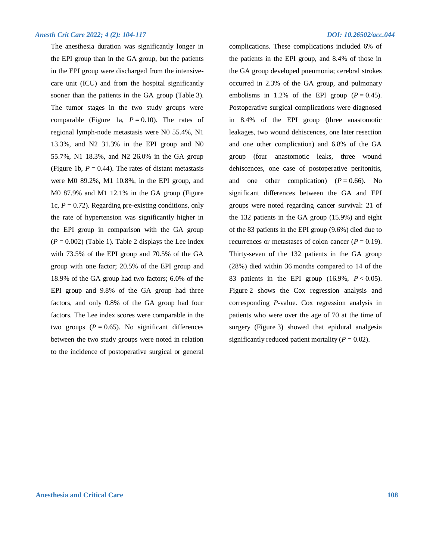The anesthesia duration was significantly longer in the EPI group than in the GA group, but the patients in the EPI group were discharged from the intensivecare unit (ICU) and from the hospital significantly sooner than the patients in the GA group (Table 3). The tumor stages in the two study groups were comparable (Figure 1a,  $P = 0.10$ ). The rates of regional lymph-node metastasis were N0 55.4%, N1 13.3%, and N2 31.3% in the EPI group and N0 55.7%, N1 18.3%, and N2 26.0% in the GA group (Figure 1b,  $P = 0.44$ ). The rates of distant metastasis were M0 89.2%, M1 10.8%, in the EPI group, and M0 87.9% and M1 12.1% in the GA group (Figure 1c,  $P = 0.72$ ). Regarding pre-existing conditions, only the rate of hypertension was significantly higher in the EPI group in comparison with the GA group  $(P = 0.002)$  (Table 1). Table 2 displays the Lee index with 73.5% of the EPI group and 70.5% of the GA group with one factor; 20.5% of the EPI group and 18.9% of the GA group had two factors; 6.0% of the EPI group and 9.8% of the GA group had three factors, and only 0.8% of the GA group had four factors. The Lee index scores were comparable in the two groups  $(P = 0.65)$ . No significant differences between the two study groups were noted in relation to the incidence of postoperative surgical or general

complications. These complications included 6% of the patients in the EPI group, and 8.4% of those in the GA group developed pneumonia; cerebral strokes occurred in 2.3% of the GA group, and pulmonary embolisms in 1.2% of the EPI group  $(P = 0.45)$ . Postoperative surgical complications were diagnosed in 8.4% of the EPI group (three anastomotic leakages, two wound dehiscences, one later resection and one other complication) and 6.8% of the GA group (four anastomotic leaks, three wound dehiscences, one case of postoperative peritonitis, and one other complication)  $(P = 0.66)$ . No significant differences between the GA and EPI groups were noted regarding cancer survival: 21 of the 132 patients in the GA group (15.9%) and eight of the 83 patients in the EPI group (9.6%) died due to recurrences or metastases of colon cancer  $(P = 0.19)$ . Thirty-seven of the 132 patients in the GA group (28%) died within 36 months compared to 14 of the 83 patients in the EPI group (16.9%, *P* < 0.05). Figure 2 shows the Cox regression analysis and corresponding *P*-value. Cox regression analysis in patients who were over the age of 70 at the time of surgery (Figure 3) showed that epidural analgesia significantly reduced patient mortality  $(P = 0.02)$ .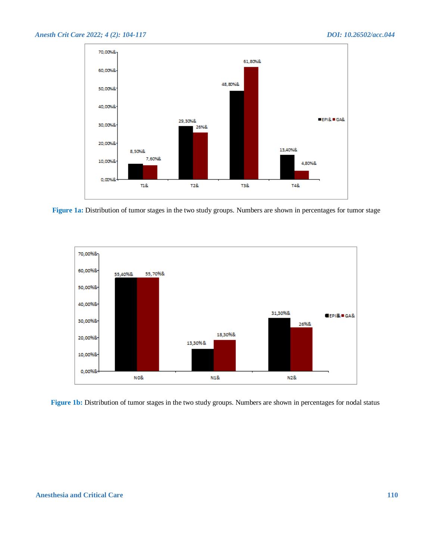

**Figure 1a:** Distribution of tumor stages in the two study groups. Numbers are shown in percentages for tumor stage



**Figure 1b:** Distribution of tumor stages in the two study groups. Numbers are shown in percentages for nodal status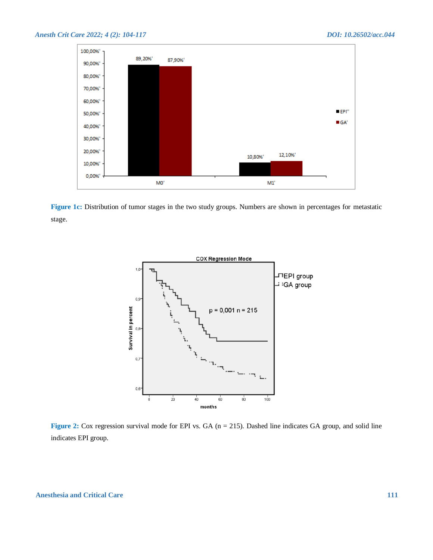

**Figure 1c:** Distribution of tumor stages in the two study groups. Numbers are shown in percentages for metastatic stage.



**Figure 2:** Cox regression survival mode for EPI vs. GA (n = 215). Dashed line indicates GA group, and solid line indicates EPI group.

**Anesthesia and Critical Care 111**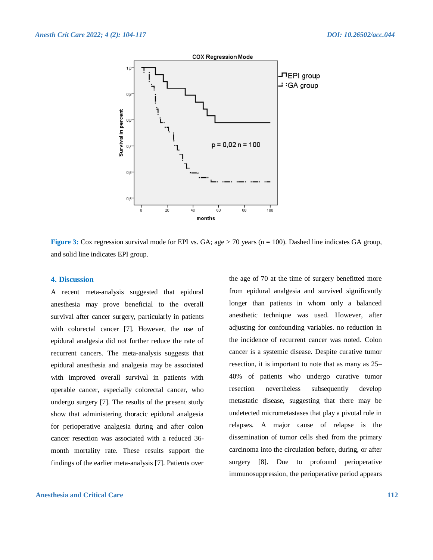

**Figure 3:** Cox regression survival mode for EPI vs. GA; age > 70 years (n = 100). Dashed line indicates GA group, and solid line indicates EPI group.

## **4. Discussion**

A recent meta-analysis suggested that epidural anesthesia may prove beneficial to the overall survival after cancer surgery, particularly in patients with colorectal cancer [7]. However, the use of epidural analgesia did not further reduce the rate of recurrent cancers. The meta-analysis suggests that epidural anesthesia and analgesia may be associated with improved overall survival in patients with operable cancer, especially colorectal cancer, who undergo surgery [7]. The results of the present study show that administering thoracic epidural analgesia for perioperative analgesia during and after colon cancer resection was associated with a reduced 36 month mortality rate. These results support the findings of the earlier meta-analysis [7]. Patients over

**Anesthesia and Critical Care 112**

the age of 70 at the time of surgery benefitted more from epidural analgesia and survived significantly longer than patients in whom only a balanced anesthetic technique was used. However, after adjusting for confounding variables. no reduction in the incidence of recurrent cancer was noted. Colon cancer is a systemic disease. Despite curative tumor resection, it is important to note that as many as 25– 40% of patients who undergo curative tumor resection nevertheless subsequently develop metastatic disease, suggesting that there may be undetected micrometastases that play a pivotal role in relapses. A major cause of relapse is the dissemination of tumor cells shed from the primary carcinoma into the circulation before, during, or after surgery [8]. Due to profound perioperative immunosuppression, the perioperative period appears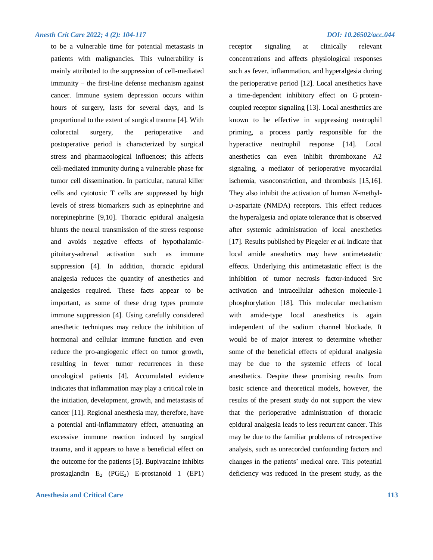to be a vulnerable time for potential metastasis in patients with malignancies. This vulnerability is mainly attributed to the suppression of cell-mediated immunity – the first-line defense mechanism against cancer. Immune system depression occurs within hours of surgery, lasts for several days, and is proportional to the extent of surgical trauma [4]. With colorectal surgery, the perioperative and postoperative period is characterized by surgical stress and pharmacological influences; this affects cell-mediated immunity during a vulnerable phase for tumor cell dissemination. In particular, natural killer cells and cytotoxic T cells are suppressed by high levels of stress biomarkers such as epinephrine and norepinephrine [9,10]. Thoracic epidural analgesia blunts the neural transmission of the stress response and avoids negative effects of hypothalamicpituitary-adrenal activation such as immune suppression [4]. In addition, thoracic epidural analgesia reduces the quantity of anesthetics and analgesics required. These facts appear to be important, as some of these drug types promote immune suppression [4]. Using carefully considered anesthetic techniques may reduce the inhibition of hormonal and cellular immune function and even reduce the pro-angiogenic effect on tumor growth, resulting in fewer tumor recurrences in these oncological patients [4]. Accumulated evidence indicates that inflammation may play a critical role in the initiation, development, growth, and metastasis of cancer [11]. Regional anesthesia may, therefore, have a potential anti-inflammatory effect, attenuating an excessive immune reaction induced by surgical trauma, and it appears to have a beneficial effect on the outcome for the patients [5]. Bupivacaine inhibits prostaglandin  $E_2$  (PGE<sub>2</sub>) E-prostanoid 1 (EP1)

# **Anesthesia and Critical Care 113**

receptor signaling at clinically relevant concentrations and affects physiological responses such as fever, inflammation, and hyperalgesia during the perioperative period [12]. Local anesthetics have a time-dependent inhibitory effect on G proteincoupled receptor signaling [13]. Local anesthetics are known to be effective in suppressing neutrophil priming, a process partly responsible for the hyperactive neutrophil response [14]. Local anesthetics can even inhibit thromboxane A2 signaling, a mediator of perioperative myocardial ischemia, vasoconstriction, and thrombosis [15,16]. They also inhibit the activation of human *N*-methyl-D-aspartate (NMDA) receptors. This effect reduces the hyperalgesia and opiate tolerance that is observed after systemic administration of local anesthetics [17]. Results published by Piegeler *et al.* indicate that local amide anesthetics may have antimetastatic effects. Underlying this antimetastatic effect is the inhibition of tumor necrosis factor-induced Src activation and intracellular adhesion molecule-1 phosphorylation [18]. This molecular mechanism with amide-type local anesthetics is again independent of the sodium channel blockade. It would be of major interest to determine whether some of the beneficial effects of epidural analgesia may be due to the systemic effects of local anesthetics. Despite these promising results from basic science and theoretical models, however, the results of the present study do not support the view that the perioperative administration of thoracic epidural analgesia leads to less recurrent cancer. This may be due to the familiar problems of retrospective analysis, such as unrecorded confounding factors and changes in the patients' medical care. This potential deficiency was reduced in the present study, as the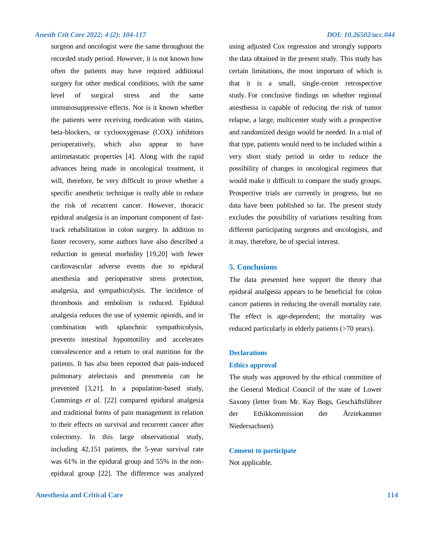surgeon and oncologist were the same throughout the recorded study period. However, it is not known how often the patients may have required additional surgery for other medical conditions, with the same level of surgical stress and the same immunosuppressive effects. Nor is it known whether the patients were receiving medication with statins, beta-blockers, or cyclooxygenase (COX) inhibitors perioperatively, which also appear to have antimetastatic properties [4]. Along with the rapid advances being made in oncological treatment, it will, therefore, be very difficult to prove whether a specific anesthetic technique is really able to reduce the risk of recurrent cancer. However, thoracic epidural analgesia is an important component of fasttrack rehabilitation in colon surgery. In addition to faster recovery, some authors have also described a reduction in general morbidity [19,20] with fewer cardiovascular adverse events due to epidural anesthesia and perioperative stress protection, analgesia, and sympathicolysis. The incidence of thrombosis and embolism is reduced. Epidural analgesia reduces the use of systemic opioids, and in combination with splanchnic sympathicolysis, prevents intestinal hypomotility and accelerates convalescence and a return to oral nutrition for the patients. It has also been reported that pain-induced pulmonary atelectasis and pneumonia can be prevented [3,21]. In a population-based study, Cummings *et al.* [22] compared epidural analgesia and traditional forms of pain management in relation to their effects on survival and recurrent cancer after colectomy. In this large observational study, including 42,151 patients, the 5-year survival rate was 61% in the epidural group and 55% in the nonepidural group [22]. The difference was analyzed

# **Anesthesia and Critical Care 114**

using adjusted Cox regression and strongly supports the data obtained in the present study. This study has certain limitations, the most important of which is that it is a small, single-center retrospective study. For conclusive findings on whether regional anesthesia is capable of reducing the risk of tumor relapse, a large, multicenter study with a prospective and randomized design would be needed. In a trial of that type, patients would need to be included within a very short study period in order to reduce the possibility of changes in oncological regimens that would make it difficult to compare the study groups. Prospective trials are currently in progress, but no data have been published so far. The present study excludes the possibility of variations resulting from different participating surgeons and oncologists, and it may, therefore, be of special interest.

### **5. Conclusions**

The data presented here support the theory that epidural analgesia appears to be beneficial for colon cancer patients in reducing the overall mortality rate. The effect is age-dependent; the mortality was reduced particularly in elderly patients (>70 years).

#### **Declarations**

#### **Ethics approval**

The study was approved by the ethical committee of the General Medical Council of the state of Lower Saxony (letter from Mr. Kay Bogs, Geschäftsführer der Ethikkommission der Ärztekammer Niedersachsen).

# **Consent to participate**

Not applicable.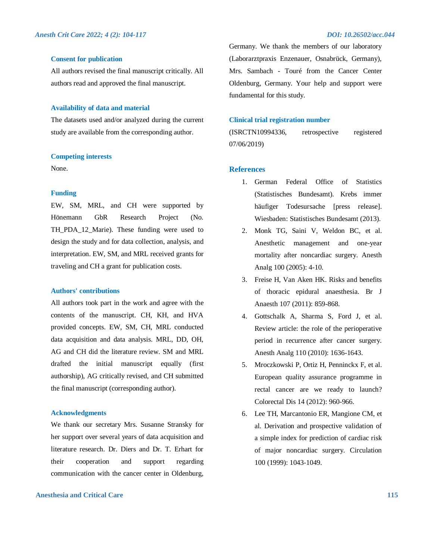#### **Consent for publication**

All authors revised the final manuscript critically. All authors read and approved the final manuscript.

#### **Availability of data and material**

The datasets used and/or analyzed during the current study are available from the corresponding author.

#### **Competing interests**

None.

### **Funding**

EW, SM, MRL, and CH were supported by Hönemann GbR Research Project (No. TH PDA 12 Marie). These funding were used to design the study and for data collection, analysis, and interpretation. EW, SM, and MRL received grants for traveling and CH a grant for publication costs.

# **Authors' contributions**

All authors took part in the work and agree with the contents of the manuscript. CH, KH, and HVA provided concepts. EW, SM, CH, MRL conducted data acquisition and data analysis. MRL, DD, OH, AG and CH did the literature review. SM and MRL drafted the initial manuscript equally (first authorship), AG critically revised, and CH submitted the final manuscript (corresponding author).

### **Acknowledgments**

We thank our secretary Mrs. Susanne Stransky for her support over several years of data acquisition and literature research. Dr. Diers and Dr. T. Erhart for their cooperation and support regarding communication with the cancer center in Oldenburg,

# **Anesthesia and Critical Care 115**

Germany. We thank the members of our laboratory (Laborarztpraxis Enzenauer, Osnabrück, Germany), Mrs. Sambach - Touré from the Cancer Center Oldenburg, Germany. Your help and support were fundamental for this study.

# **Clinical trial registration number**

(ISRCTN10994336, retrospective registered 07/06/2019)

#### **References**

- 1. German Federal Office of Statistics (Statistisches Bundesamt). Krebs immer häufiger Todesursache [press release]. Wiesbaden: Statistisches Bundesamt (2013).
- 2. Monk TG, Saini V, Weldon BC, et al. Anesthetic management and one-year mortality after noncardiac surgery. Anesth Analg 100 (2005): 4-10.
- 3. Freise H, Van Aken HK. Risks and benefits of thoracic epidural anaesthesia. Br J Anaesth 107 (2011): 859-868.
- 4. Gottschalk A, Sharma S, Ford J, et al. Review article: the role of the perioperative period in recurrence after cancer surgery. Anesth Analg 110 (2010): 1636-1643.
- 5. Mroczkowski P, Ortiz H, Penninckx F, et al. European quality assurance programme in rectal cancer are we ready to launch? Colorectal Dis 14 (2012): 960-966.
- 6. Lee TH, Marcantonio ER, Mangione CM, et al. Derivation and prospective validation of a simple index for prediction of cardiac risk of major noncardiac surgery. Circulation 100 (1999): 1043-1049.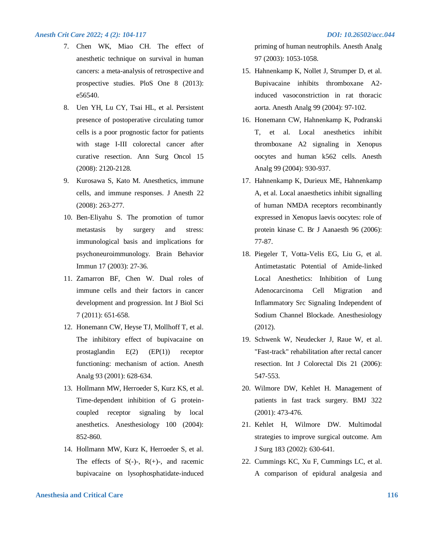- 7. Chen WK, Miao CH. The effect of anesthetic technique on survival in human cancers: a meta-analysis of retrospective and prospective studies. PloS One 8 (2013): e56540.
- 8. Uen YH, Lu CY, Tsai HL, et al. Persistent presence of postoperative circulating tumor cells is a poor prognostic factor for patients with stage I-III colorectal cancer after curative resection. Ann Surg Oncol 15 (2008): 2120-2128.
- 9. Kurosawa S, Kato M. Anesthetics, immune cells, and immune responses. J Anesth 22 (2008): 263-277.
- 10. Ben-Eliyahu S. The promotion of tumor metastasis by surgery and stress: immunological basis and implications for psychoneuroimmunology. Brain Behavior Immun 17 (2003): 27-36.
- 11. Zamarron BF, Chen W. Dual roles of immune cells and their factors in cancer development and progression. Int J Biol Sci 7 (2011): 651-658.
- 12. Honemann CW, Heyse TJ, Mollhoff T, et al. The inhibitory effect of bupivacaine on prostaglandin E(2) (EP(1)) receptor functioning: mechanism of action. Anesth Analg 93 (2001): 628-634.
- 13. Hollmann MW, Herroeder S, Kurz KS, et al. Time-dependent inhibition of G proteincoupled receptor signaling by local anesthetics. Anesthesiology 100 (2004): 852-860.
- 14. Hollmann MW, Kurz K, Herroeder S, et al. The effects of  $S(-)$ -,  $R(+)$ -, and racemic bupivacaine on lysophosphatidate-induced

### **Anesthesia and Critical Care 116**

priming of human neutrophils. Anesth Analg 97 (2003): 1053-1058.

- 15. Hahnenkamp K, Nollet J, Strumper D, et al. Bupivacaine inhibits thromboxane A2 induced vasoconstriction in rat thoracic aorta. Anesth Analg 99 (2004): 97-102.
- 16. Honemann CW, Hahnenkamp K, Podranski T, et al. Local anesthetics inhibit thromboxane A2 signaling in Xenopus oocytes and human k562 cells. Anesth Analg 99 (2004): 930-937.
- 17. Hahnenkamp K, Durieux ME, Hahnenkamp A, et al. Local anaesthetics inhibit signalling of human NMDA receptors recombinantly expressed in Xenopus laevis oocytes: role of protein kinase C. Br J Aanaesth 96 (2006): 77-87.
- 18. Piegeler T, Votta-Velis EG, Liu G, et al. Antimetastatic Potential of Amide-linked Local Anesthetics: Inhibition of Lung Adenocarcinoma Cell Migration and Inflammatory Src Signaling Independent of Sodium Channel Blockade. Anesthesiology (2012).
- 19. Schwenk W, Neudecker J, Raue W, et al. "Fast-track" rehabilitation after rectal cancer resection. Int J Colorectal Dis 21 (2006): 547-553.
- 20. Wilmore DW, Kehlet H. Management of patients in fast track surgery. BMJ 322 (2001): 473-476.
- 21. Kehlet H, Wilmore DW. Multimodal strategies to improve surgical outcome. Am J Surg 183 (2002): 630-641.
- 22. Cummings KC, Xu F, Cummings LC, et al. A comparison of epidural analgesia and